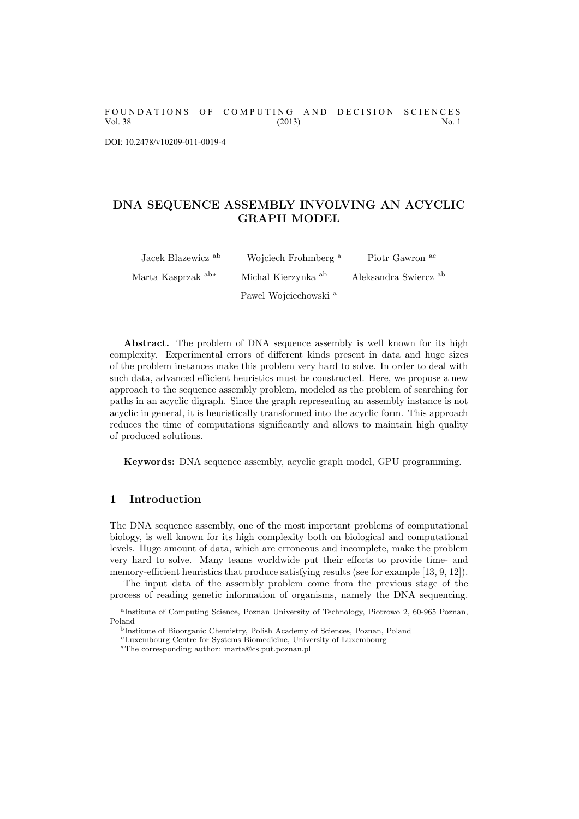FOUNDATIONS OF COMPUTING AND DECISION SCIENCES Vol. 38 (2013) No. 1

DOI: 10.2478/v10209-011-0019-4

## DNA SEQUENCE ASSEMBLY INVOLVING AN ACYCLIC GRAPH MODEL

| Jacek Blazewicz <sup>ab</sup> | Wojciech Frohmberg <sup>a</sup>  | Piotr Gawron ac                  |
|-------------------------------|----------------------------------|----------------------------------|
| Marta Kasprzak ab*            | Michal Kierzynka <sup>ab</sup>   | Aleksandra Swiercz <sup>ab</sup> |
|                               | Pawel Wojciechowski <sup>a</sup> |                                  |

Abstract. The problem of DNA sequence assembly is well known for its high complexity. Experimental errors of different kinds present in data and huge sizes of the problem instances make this problem very hard to solve. In order to deal with such data, advanced efficient heuristics must be constructed. Here, we propose a new approach to the sequence assembly problem, modeled as the problem of searching for paths in an acyclic digraph. Since the graph representing an assembly instance is not acyclic in general, it is heuristically transformed into the acyclic form. This approach reduces the time of computations significantly and allows to maintain high quality of produced solutions.

Keywords: DNA sequence assembly, acyclic graph model, GPU programming.

#### 1 Introduction

The DNA sequence assembly, one of the most important problems of computational biology, is well known for its high complexity both on biological and computational levels. Huge amount of data, which are erroneous and incomplete, make the problem very hard to solve. Many teams worldwide put their efforts to provide time- and memory-efficient heuristics that produce satisfying results (see for example [13, 9, 12]).

The input data of the assembly problem come from the previous stage of the process of reading genetic information of organisms, namely the DNA sequencing.

a Institute of Computing Science, Poznan University of Technology, Piotrowo 2, 60-965 Poznan, Poland

<sup>b</sup>Institute of Bioorganic Chemistry, Polish Academy of Sciences, Poznan, Poland

<sup>c</sup>Luxembourg Centre for Systems Biomedicine, University of Luxembourg

<sup>∗</sup>The corresponding author: marta@cs.put.poznan.pl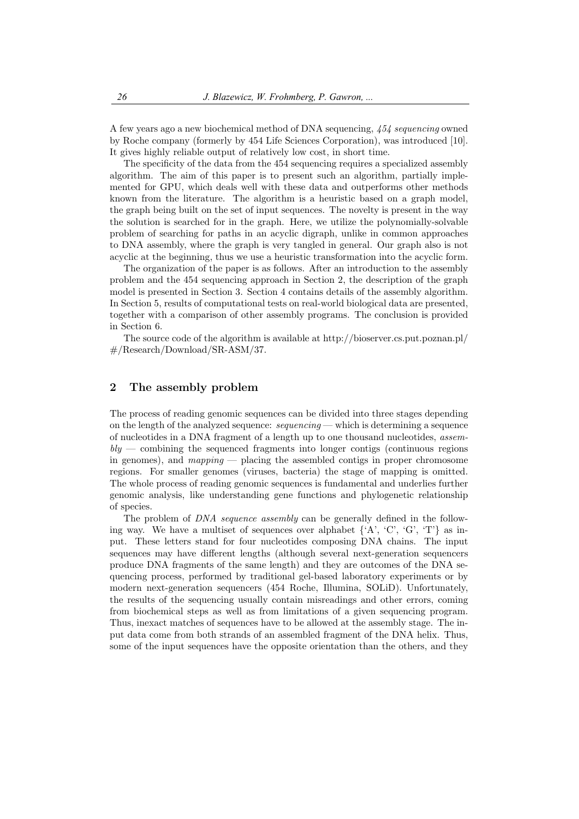A few years ago a new biochemical method of DNA sequencing, 454 sequencing owned by Roche company (formerly by 454 Life Sciences Corporation), was introduced [10]. It gives highly reliable output of relatively low cost, in short time.

The specificity of the data from the 454 sequencing requires a specialized assembly algorithm. The aim of this paper is to present such an algorithm, partially implemented for GPU, which deals well with these data and outperforms other methods known from the literature. The algorithm is a heuristic based on a graph model, the graph being built on the set of input sequences. The novelty is present in the way the solution is searched for in the graph. Here, we utilize the polynomially-solvable problem of searching for paths in an acyclic digraph, unlike in common approaches to DNA assembly, where the graph is very tangled in general. Our graph also is not acyclic at the beginning, thus we use a heuristic transformation into the acyclic form.

The organization of the paper is as follows. After an introduction to the assembly problem and the 454 sequencing approach in Section 2, the description of the graph model is presented in Section 3. Section 4 contains details of the assembly algorithm. In Section 5, results of computational tests on real-world biological data are presented, together with a comparison of other assembly programs. The conclusion is provided in Section 6.

The source code of the algorithm is available at http://bioserver.cs.put.poznan.pl/ #/Research/Download/SR-ASM/37.

#### 2 The assembly problem

The process of reading genomic sequences can be divided into three stages depending on the length of the analyzed sequence:  $sequence: sequence$  — which is determining a sequence of nucleotides in a DNA fragment of a length up to one thousand nucleotides, assem $bly$  — combining the sequenced fragments into longer contigs (continuous regions in genomes), and mapping — placing the assembled contigs in proper chromosome regions. For smaller genomes (viruses, bacteria) the stage of mapping is omitted. The whole process of reading genomic sequences is fundamental and underlies further genomic analysis, like understanding gene functions and phylogenetic relationship of species.

The problem of DNA sequence assembly can be generally defined in the following way. We have a multiset of sequences over alphabet  $\{A', C', G', T'\}$  as input. These letters stand for four nucleotides composing DNA chains. The input sequences may have different lengths (although several next-generation sequencers produce DNA fragments of the same length) and they are outcomes of the DNA sequencing process, performed by traditional gel-based laboratory experiments or by modern next-generation sequencers (454 Roche, Illumina, SOLiD). Unfortunately, the results of the sequencing usually contain misreadings and other errors, coming from biochemical steps as well as from limitations of a given sequencing program. Thus, inexact matches of sequences have to be allowed at the assembly stage. The input data come from both strands of an assembled fragment of the DNA helix. Thus, some of the input sequences have the opposite orientation than the others, and they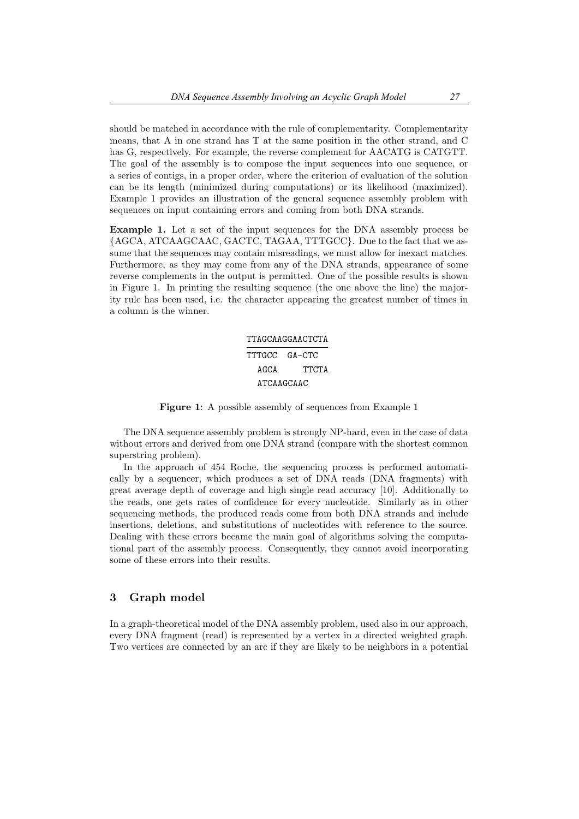should be matched in accordance with the rule of complementarity. Complementarity means, that A in one strand has T at the same position in the other strand, and C has G, respectively. For example, the reverse complement for AACATG is CATGTT. The goal of the assembly is to compose the input sequences into one sequence, or a series of contigs, in a proper order, where the criterion of evaluation of the solution can be its length (minimized during computations) or its likelihood (maximized). Example 1 provides an illustration of the general sequence assembly problem with sequences on input containing errors and coming from both DNA strands.

Example 1. Let a set of the input sequences for the DNA assembly process be {AGCA, ATCAAGCAAC, GACTC, TAGAA, TTTGCC}. Due to the fact that we assume that the sequences may contain misreadings, we must allow for inexact matches. Furthermore, as they may come from any of the DNA strands, appearance of some reverse complements in the output is permitted. One of the possible results is shown in Figure 1. In printing the resulting sequence (the one above the line) the majority rule has been used, i.e. the character appearing the greatest number of times in a column is the winner.

# TTAGCAAGGAACTCTA TTTGCC GA-CTC AGCA TTCTA ATCAAGCAAC

Figure 1: A possible assembly of sequences from Example 1

The DNA sequence assembly problem is strongly NP-hard, even in the case of data without errors and derived from one DNA strand (compare with the shortest common superstring problem).

In the approach of 454 Roche, the sequencing process is performed automatically by a sequencer, which produces a set of DNA reads (DNA fragments) with great average depth of coverage and high single read accuracy [10]. Additionally to the reads, one gets rates of confidence for every nucleotide. Similarly as in other sequencing methods, the produced reads come from both DNA strands and include insertions, deletions, and substitutions of nucleotides with reference to the source. Dealing with these errors became the main goal of algorithms solving the computational part of the assembly process. Consequently, they cannot avoid incorporating some of these errors into their results.

#### 3 Graph model

In a graph-theoretical model of the DNA assembly problem, used also in our approach, every DNA fragment (read) is represented by a vertex in a directed weighted graph. Two vertices are connected by an arc if they are likely to be neighbors in a potential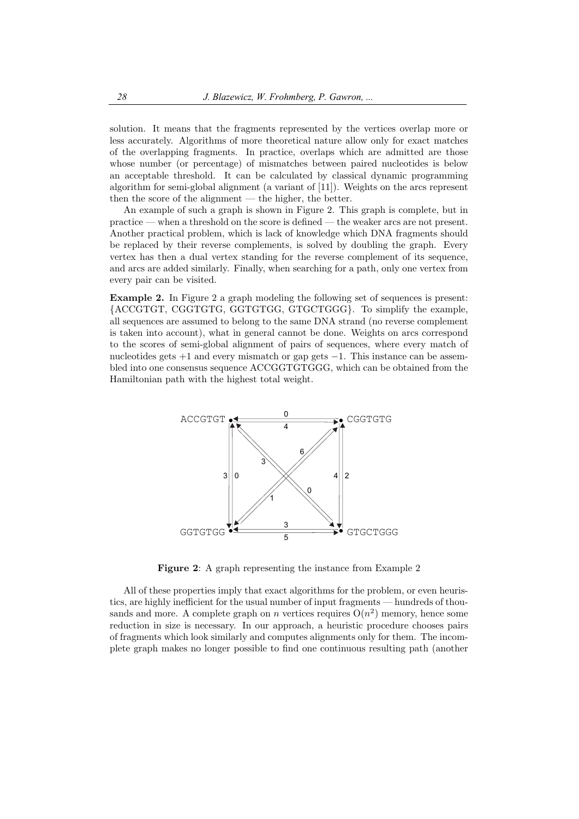solution. It means that the fragments represented by the vertices overlap more or less accurately. Algorithms of more theoretical nature allow only for exact matches of the overlapping fragments. In practice, overlaps which are admitted are those whose number (or percentage) of mismatches between paired nucleotides is below an acceptable threshold. It can be calculated by classical dynamic programming algorithm for semi-global alignment (a variant of [11]). Weights on the arcs represent then the score of the alignment — the higher, the better.

An example of such a graph is shown in Figure 2. This graph is complete, but in practice — when a threshold on the score is defined — the weaker arcs are not present. Another practical problem, which is lack of knowledge which DNA fragments should be replaced by their reverse complements, is solved by doubling the graph. Every vertex has then a dual vertex standing for the reverse complement of its sequence, and arcs are added similarly. Finally, when searching for a path, only one vertex from every pair can be visited.

Example 2. In Figure 2 a graph modeling the following set of sequences is present: {ACCGTGT, CGGTGTG, GGTGTGG, GTGCTGGG}. To simplify the example, all sequences are assumed to belong to the same DNA strand (no reverse complement is taken into account), what in general cannot be done. Weights on arcs correspond to the scores of semi-global alignment of pairs of sequences, where every match of nucleotides gets  $+1$  and every mismatch or gap gets  $-1$ . This instance can be assembled into one consensus sequence ACCGGTGTGGG, which can be obtained from the Hamiltonian path with the highest total weight.



Figure 2: A graph representing the instance from Example 2

All of these properties imply that exact algorithms for the problem, or even heuristics, are highly inefficient for the usual number of input fragments — hundreds of thousands and more. A complete graph on n vertices requires  $O(n^2)$  memory, hence some reduction in size is necessary. In our approach, a heuristic procedure chooses pairs of fragments which look similarly and computes alignments only for them. The incomplete graph makes no longer possible to find one continuous resulting path (another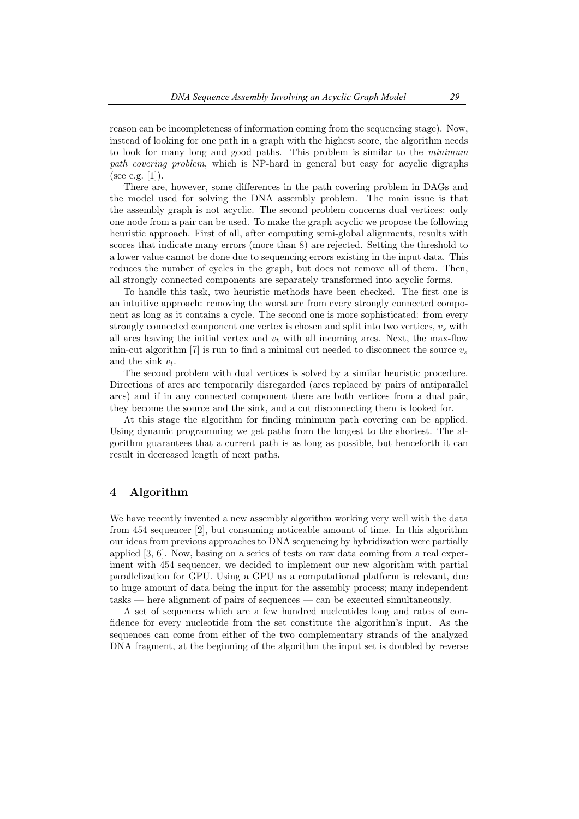reason can be incompleteness of information coming from the sequencing stage). Now, instead of looking for one path in a graph with the highest score, the algorithm needs to look for many long and good paths. This problem is similar to the minimum path covering problem, which is NP-hard in general but easy for acyclic digraphs (see e.g.  $[1]$ ).

There are, however, some differences in the path covering problem in DAGs and the model used for solving the DNA assembly problem. The main issue is that the assembly graph is not acyclic. The second problem concerns dual vertices: only one node from a pair can be used. To make the graph acyclic we propose the following heuristic approach. First of all, after computing semi-global alignments, results with scores that indicate many errors (more than 8) are rejected. Setting the threshold to a lower value cannot be done due to sequencing errors existing in the input data. This reduces the number of cycles in the graph, but does not remove all of them. Then, all strongly connected components are separately transformed into acyclic forms.

To handle this task, two heuristic methods have been checked. The first one is an intuitive approach: removing the worst arc from every strongly connected component as long as it contains a cycle. The second one is more sophisticated: from every strongly connected component one vertex is chosen and split into two vertices,  $v_s$  with all arcs leaving the initial vertex and  $v_t$  with all incoming arcs. Next, the max-flow min-cut algorithm [7] is run to find a minimal cut needed to disconnect the source  $v_s$ and the sink  $v_t$ .

The second problem with dual vertices is solved by a similar heuristic procedure. Directions of arcs are temporarily disregarded (arcs replaced by pairs of antiparallel arcs) and if in any connected component there are both vertices from a dual pair, they become the source and the sink, and a cut disconnecting them is looked for.

At this stage the algorithm for finding minimum path covering can be applied. Using dynamic programming we get paths from the longest to the shortest. The algorithm guarantees that a current path is as long as possible, but henceforth it can result in decreased length of next paths.

#### 4 Algorithm

We have recently invented a new assembly algorithm working very well with the data from 454 sequencer [2], but consuming noticeable amount of time. In this algorithm our ideas from previous approaches to DNA sequencing by hybridization were partially applied [3, 6]. Now, basing on a series of tests on raw data coming from a real experiment with 454 sequencer, we decided to implement our new algorithm with partial parallelization for GPU. Using a GPU as a computational platform is relevant, due to huge amount of data being the input for the assembly process; many independent tasks — here alignment of pairs of sequences — can be executed simultaneously.

A set of sequences which are a few hundred nucleotides long and rates of confidence for every nucleotide from the set constitute the algorithm's input. As the sequences can come from either of the two complementary strands of the analyzed DNA fragment, at the beginning of the algorithm the input set is doubled by reverse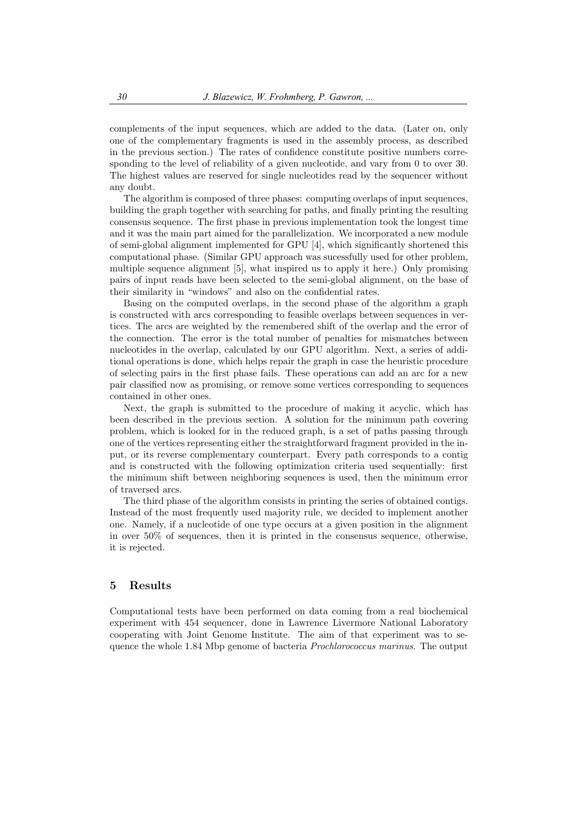complements of the input sequences, which are added to the data. (Later on, only one of the complementary fragments is used in the assembly process, as described in the previous section.) The rates of confidence constitute positive numbers corresponding to the level of reliability of a given nucleotide, and vary from 0 to over 30. The highest values are reserved for single nucleotides read by the sequencer without any doubt.

The algorithm is composed of three phases: computing overlaps of input sequences, building the graph together with searching for paths, and finally printing the resulting consensus sequence. The first phase in previous implementation took the longest time and it was the main part aimed for the parallelization. We incorporated a new module of semi-global alignment implemented for GPU [4], which significantly shortened this computational phase. (Similar GPU approach was sucessfully used for other problem, multiple sequence alignment [5], what inspired us to apply it here.) Only promising pairs of input reads have been selected to the semi-global alignment, on the base of their similarity in "windows" and also on the confidential rates.

Basing on the computed overlaps, in the second phase of the algorithm a graph is constructed with arcs corresponding to feasible overlaps between sequences in vertices. The arcs are weighted by the remembered shift of the overlap and the error of the connection. The error is the total number of penalties for mismatches between nucleotides in the overlap, calculated by our GPU algorithm. Next, a series of additional operations is done, which helps repair the graph in case the heuristic procedure of selecting pairs in the first phase fails. These operations can add an arc for a new pair classified now as promising, or remove some vertices corresponding to sequences contained in other ones.

Next, the graph is submitted to the procedure of making it acyclic, which has been described in the previous section. A solution for the minimum path covering problem, which is looked for in the reduced graph, is a set of paths passing through one of the vertices representing either the straightforward fragment provided in the input, or its reverse complementary counterpart. Every path corresponds to a contig and is constructed with the following optimization criteria used sequentially: first the minimum shift between neighboring sequences is used, then the minimum error of traversed arcs.

The third phase of the algorithm consists in printing the series of obtained contigs. Instead of the most frequently used majority rule, we decided to implement another one. Namely, if a nucleotide of one type occurs at a given position in the alignment in over 50% of sequences, then it is printed in the consensus sequence, otherwise, it is rejected.

## 5 Results

Computational tests have been performed on data coming from a real biochemical experiment with 454 sequencer, done in Lawrence Livermore National Laboratory cooperating with Joint Genome Institute. The aim of that experiment was to sequence the whole 1.84 Mbp genome of bacteria Prochlorococcus marinus. The output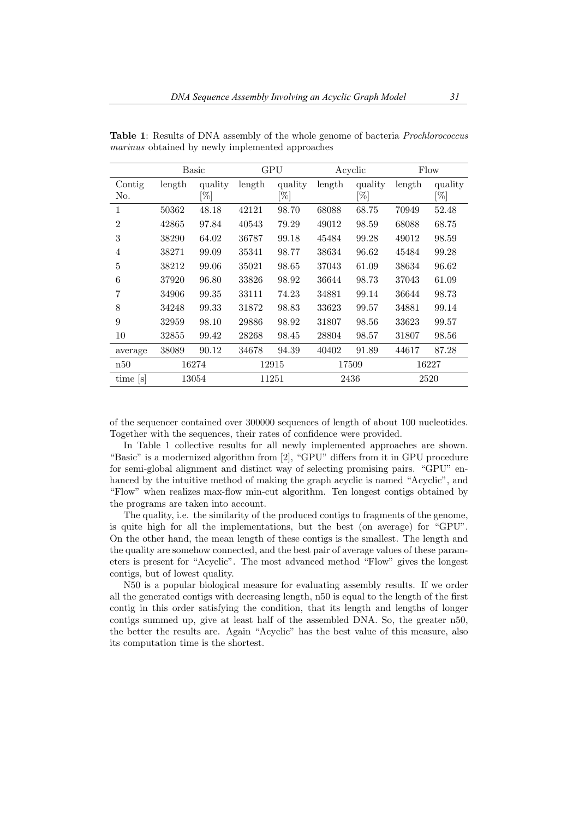|                | Basic  |                   | GPU    |                   | Acyclic |                | Flow   |                   |
|----------------|--------|-------------------|--------|-------------------|---------|----------------|--------|-------------------|
| Contig<br>No.  | length | quality<br>$[\%]$ | length | quality<br>$[\%]$ | length  | quality<br>[%] | length | quality<br>$[\%]$ |
| 1              | 50362  | 48.18             | 42121  | 98.70             | 68088   | 68.75          | 70949  | 52.48             |
| $\mathfrak{D}$ | 42865  | 97.84             | 40543  | 79.29             | 49012   | 98.59          | 68088  | 68.75             |
| 3              | 38290  | 64.02             | 36787  | 99.18             | 45484   | 99.28          | 49012  | 98.59             |
| 4              | 38271  | 99.09             | 35341  | 98.77             | 38634   | 96.62          | 45484  | 99.28             |
| 5              | 38212  | 99.06             | 35021  | 98.65             | 37043   | 61.09          | 38634  | 96.62             |
| 6              | 37920  | 96.80             | 33826  | 98.92             | 36644   | 98.73          | 37043  | 61.09             |
| 7              | 34906  | 99.35             | 33111  | 74.23             | 34881   | 99.14          | 36644  | 98.73             |
| 8              | 34248  | 99.33             | 31872  | 98.83             | 33623   | 99.57          | 34881  | 99.14             |
| 9              | 32959  | 98.10             | 29886  | 98.92             | 31807   | 98.56          | 33623  | 99.57             |
| 10             | 32855  | 99.42             | 28268  | 98.45             | 28804   | 98.57          | 31807  | 98.56             |
| average        | 38089  | 90.12             | 34678  | 94.39             | 40402   | 91.89          | 44617  | 87.28             |
| n50            |        | 16274             |        | 12915             |         | 17509          |        | 16227             |
| time [s]       |        | 13054             |        | 11251             |         | 2436           |        | 2520              |

Table 1: Results of DNA assembly of the whole genome of bacteria Prochlorococcus marinus obtained by newly implemented approaches

of the sequencer contained over 300000 sequences of length of about 100 nucleotides. Together with the sequences, their rates of confidence were provided.

In Table 1 collective results for all newly implemented approaches are shown. "Basic" is a modernized algorithm from [2], "GPU" differs from it in GPU procedure for semi-global alignment and distinct way of selecting promising pairs. "GPU" enhanced by the intuitive method of making the graph acyclic is named "Acyclic", and "Flow" when realizes max-flow min-cut algorithm. Ten longest contigs obtained by the programs are taken into account.

The quality, i.e. the similarity of the produced contigs to fragments of the genome, is quite high for all the implementations, but the best (on average) for "GPU". On the other hand, the mean length of these contigs is the smallest. The length and the quality are somehow connected, and the best pair of average values of these parameters is present for "Acyclic". The most advanced method "Flow" gives the longest contigs, but of lowest quality.

N50 is a popular biological measure for evaluating assembly results. If we order all the generated contigs with decreasing length, n50 is equal to the length of the first contig in this order satisfying the condition, that its length and lengths of longer contigs summed up, give at least half of the assembled DNA. So, the greater n50, the better the results are. Again "Acyclic" has the best value of this measure, also its computation time is the shortest.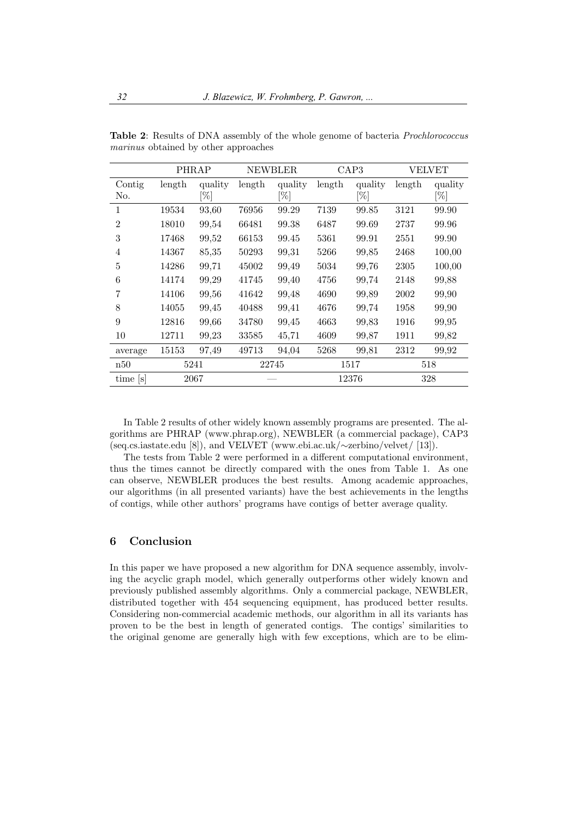|                | PHRAP  |         | <b>NEWBLER</b> |         | CAP3   |         | VELVET |         |
|----------------|--------|---------|----------------|---------|--------|---------|--------|---------|
| Contig         | length | quality | length         | quality | length | quality | length | quality |
| No.            |        | $[\%]$  |                | [%]     |        | [%]     |        | [%]     |
| 1              | 19534  | 93,60   | 76956          | 99.29   | 7139   | 99.85   | 3121   | 99.90   |
| $\mathfrak{D}$ | 18010  | 99,54   | 66481          | 99.38   | 6487   | 99.69   | 2737   | 99.96   |
| 3              | 17468  | 99,52   | 66153          | 99.45   | 5361   | 99.91   | 2551   | 99.90   |
| 4              | 14367  | 85,35   | 50293          | 99,31   | 5266   | 99,85   | 2468   | 100,00  |
| 5              | 14286  | 99,71   | 45002          | 99,49   | 5034   | 99,76   | 2305   | 100,00  |
| 6              | 14174  | 99,29   | 41745          | 99,40   | 4756   | 99.74   | 2148   | 99,88   |
| 7              | 14106  | 99,56   | 41642          | 99,48   | 4690   | 99.89   | 2002   | 99,90   |
| 8              | 14055  | 99,45   | 40488          | 99,41   | 4676   | 99.74   | 1958   | 99,90   |
| 9              | 12816  | 99,66   | 34780          | 99,45   | 4663   | 99.83   | 1916   | 99,95   |
| 10             | 12711  | 99,23   | 33585          | 45,71   | 4609   | 99,87   | 1911   | 99,82   |
| average        | 15153  | 97,49   | 49713          | 94,04   | 5268   | 99,81   | 2312   | 99,92   |
| n50            |        | 5241    |                | 22745   |        | 1517    |        | 518     |
| time  s        |        | 2067    |                |         |        | 12376   |        | 328     |

Table 2: Results of DNA assembly of the whole genome of bacteria Prochlorococcus marinus obtained by other approaches

In Table 2 results of other widely known assembly programs are presented. The algorithms are PHRAP (www.phrap.org), NEWBLER (a commercial package), CAP3 (seq.cs.iastate.edu [8]), and VELVET (www.ebi.ac.uk/∼zerbino/velvet/ [13]).

The tests from Table 2 were performed in a different computational environment, thus the times cannot be directly compared with the ones from Table 1. As one can observe, NEWBLER produces the best results. Among academic approaches, our algorithms (in all presented variants) have the best achievements in the lengths of contigs, while other authors' programs have contigs of better average quality.

## 6 Conclusion

In this paper we have proposed a new algorithm for DNA sequence assembly, involving the acyclic graph model, which generally outperforms other widely known and previously published assembly algorithms. Only a commercial package, NEWBLER, distributed together with 454 sequencing equipment, has produced better results. Considering non-commercial academic methods, our algorithm in all its variants has proven to be the best in length of generated contigs. The contigs' similarities to the original genome are generally high with few exceptions, which are to be elim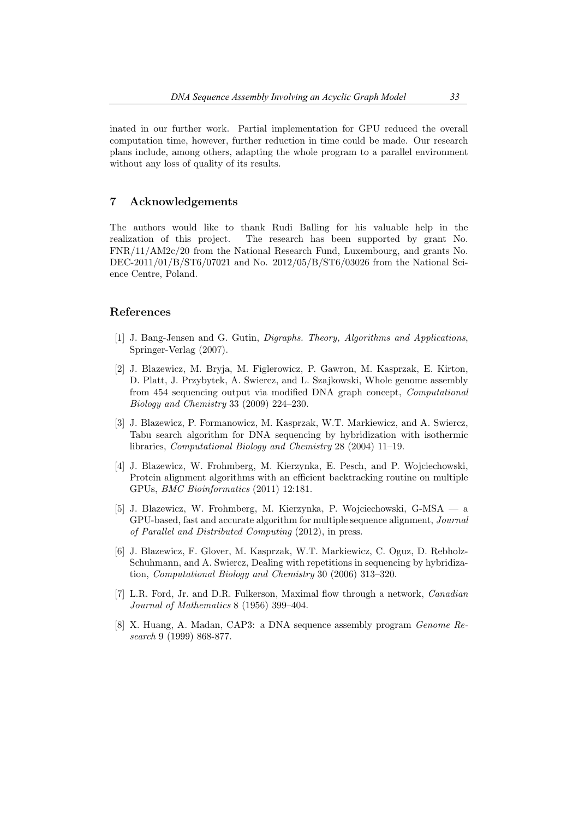inated in our further work. Partial implementation for GPU reduced the overall computation time, however, further reduction in time could be made. Our research plans include, among others, adapting the whole program to a parallel environment without any loss of quality of its results.

## 7 Acknowledgements

The authors would like to thank Rudi Balling for his valuable help in the realization of this project. The research has been supported by grant No. FNR/11/AM2c/20 from the National Research Fund, Luxembourg, and grants No. DEC-2011/01/B/ST6/07021 and No. 2012/05/B/ST6/03026 from the National Science Centre, Poland.

## References

- [1] J. Bang-Jensen and G. Gutin, Digraphs. Theory, Algorithms and Applications, Springer-Verlag (2007).
- [2] J. Blazewicz, M. Bryja, M. Figlerowicz, P. Gawron, M. Kasprzak, E. Kirton, D. Platt, J. Przybytek, A. Swiercz, and L. Szajkowski, Whole genome assembly from 454 sequencing output via modified DNA graph concept, Computational Biology and Chemistry 33 (2009) 224–230.
- [3] J. Blazewicz, P. Formanowicz, M. Kasprzak, W.T. Markiewicz, and A. Swiercz, Tabu search algorithm for DNA sequencing by hybridization with isothermic libraries, Computational Biology and Chemistry 28 (2004) 11–19.
- [4] J. Blazewicz, W. Frohmberg, M. Kierzynka, E. Pesch, and P. Wojciechowski, Protein alignment algorithms with an efficient backtracking routine on multiple GPUs, BMC Bioinformatics (2011) 12:181.
- [5] J. Blazewicz, W. Frohmberg, M. Kierzynka, P. Wojciechowski, G-MSA a GPU-based, fast and accurate algorithm for multiple sequence alignment, Journal of Parallel and Distributed Computing (2012), in press.
- [6] J. Blazewicz, F. Glover, M. Kasprzak, W.T. Markiewicz, C. Oguz, D. Rebholz-Schuhmann, and A. Swiercz, Dealing with repetitions in sequencing by hybridization, Computational Biology and Chemistry 30 (2006) 313–320.
- [7] L.R. Ford, Jr. and D.R. Fulkerson, Maximal flow through a network, Canadian Journal of Mathematics 8 (1956) 399–404.
- [8] X. Huang, A. Madan, CAP3: a DNA sequence assembly program Genome Research 9 (1999) 868-877.